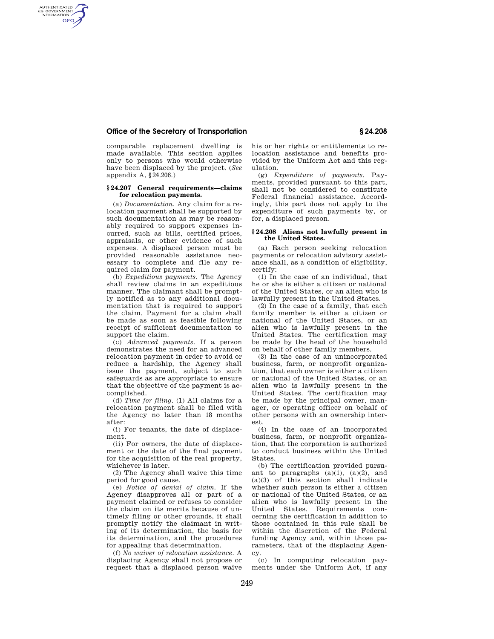## **Office of the Secretary of Transportation § 24.208**

AUTHENTICATED<br>U.S. GOVERNMENT<br>INFORMATION **GPO** 

> comparable replacement dwelling is made available. This section applies only to persons who would otherwise have been displaced by the project. (*See*  appendix A, §24.206.)

### **§ 24.207 General requirements—claims for relocation payments.**

(a) *Documentation.* Any claim for a relocation payment shall be supported by such documentation as may be reasonably required to support expenses incurred, such as bills, certified prices, appraisals, or other evidence of such expenses. A displaced person must be provided reasonable assistance necessary to complete and file any required claim for payment.

(b) *Expeditious payments.* The Agency shall review claims in an expeditious manner. The claimant shall be promptly notified as to any additional documentation that is required to support the claim. Payment for a claim shall be made as soon as feasible following receipt of sufficient documentation to support the claim.

(c) *Advanced payments.* If a person demonstrates the need for an advanced relocation payment in order to avoid or reduce a hardship, the Agency shall issue the payment, subject to such safeguards as are appropriate to ensure that the objective of the payment is accomplished.

(d) *Time for filing.* (1) All claims for a relocation payment shall be filed with the Agency no later than 18 months after:

(i) For tenants, the date of displacement.

(ii) For owners, the date of displacement or the date of the final payment for the acquisition of the real property, whichever is later.

(2) The Agency shall waive this time period for good cause.

(e) *Notice of denial of claim.* If the Agency disapproves all or part of a payment claimed or refuses to consider the claim on its merits because of untimely filing or other grounds, it shall promptly notify the claimant in writing of its determination, the basis for its determination, and the procedures for appealing that determination.

(f) *No waiver of relocation assistance.* A displacing Agency shall not propose or request that a displaced person waive his or her rights or entitlements to relocation assistance and benefits provided by the Uniform Act and this regulation.

(g) *Expenditure of payments.* Payments, provided pursuant to this part, shall not be considered to constitute Federal financial assistance. Accordingly, this part does not apply to the expenditure of such payments by, or for, a displaced person.

#### **§ 24.208 Aliens not lawfully present in the United States.**

(a) Each person seeking relocation payments or relocation advisory assistance shall, as a condition of eligibility, certify:

(1) In the case of an individual, that he or she is either a citizen or national of the United States, or an alien who is lawfully present in the United States.

(2) In the case of a family, that each family member is either a citizen or national of the United States, or an alien who is lawfully present in the United States. The certification may be made by the head of the household on behalf of other family members.

(3) In the case of an unincorporated business, farm, or nonprofit organization, that each owner is either a citizen or national of the United States, or an alien who is lawfully present in the United States. The certification may be made by the principal owner, manager, or operating officer on behalf of other persons with an ownership interest.

(4) In the case of an incorporated business, farm, or nonprofit organization, that the corporation is authorized to conduct business within the United States.

(b) The certification provided pursuant to paragraphs  $(a)(1)$ ,  $(a)(2)$ , and (a)(3) of this section shall indicate whether such person is either a citizen or national of the United States, or an alien who is lawfully present in the United States. Requirements concerning the certification in addition to those contained in this rule shall be within the discretion of the Federal funding Agency and, within those parameters, that of the displacing Agency.

(c) In computing relocation payments under the Uniform Act, if any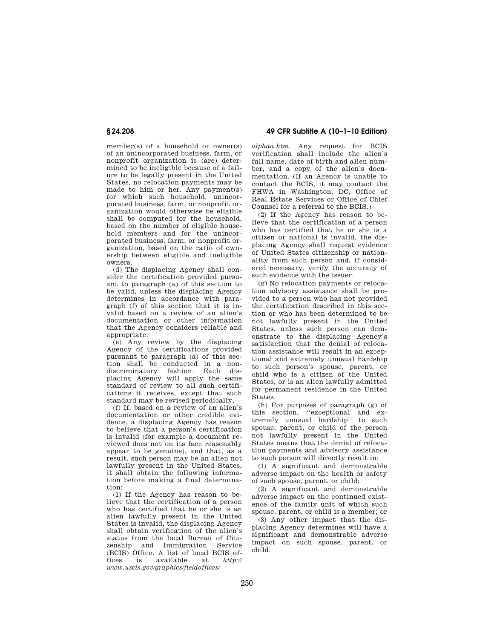member(s) of a household or owner(s) of an unincorporated business, farm, or nonprofit organization is (are) determined to be ineligible because of a failure to be legally present in the United States, no relocation payments may be made to him or her. Any payment(s) for which such household, unincorporated business, farm, or nonprofit organization would otherwise be eligible shall be computed for the household, based on the number of eligible household members and for the unincorporated business, farm, or nonprofit organization, based on the ratio of ownership between eligible and ineligible owners.

(d) The displacing Agency shall consider the certification provided pursuant to paragraph (a) of this section to be valid, unless the displacing Agency determines in accordance with paragraph (f) of this section that it is invalid based on a review of an alien's documentation or other information that the Agency considers reliable and appropriate.

(e) Any review by the displacing Agency of the certifications provided pursuant to paragraph (a) of this section shall be conducted in a nondiscriminatory fashion. Each displacing Agency will apply the same standard of review to all such certifications it receives, except that such standard may be revised periodically.

(f) If, based on a review of an alien's documentation or other credible evidence, a displacing Agency has reason to believe that a person's certification is invalid (for example a document reviewed does not on its face reasonably appear to be genuine), and that, as a result, such person may be an alien not lawfully present in the United States, it shall obtain the following information before making a final determination:

(1) If the Agency has reason to believe that the certification of a person who has certified that he or she is an alien lawfully present in the United States is invalid, the displacing Agency shall obtain verification of the alien's status from the local Bureau of Citizenship and Immigration (BCIS) Office. A list of local BCIS offices is available at *http:// www.uscis.gov/graphics/fieldoffices/* 

**§ 24.208 49 CFR Subtitle A (10–1–10 Edition)** 

*alphaa.htm.* Any request for BCIS verification shall include the alien's full name, date of birth and alien number, and a copy of the alien's documentation. (If an Agency is unable to contact the BCIS, it may contact the FHWA in Washington, DC, Office of Real Estate Services or Office of Chief Counsel for a referral to the BCIS.)

(2) If the Agency has reason to believe that the certification of a person who has certified that he or she is a citizen or national is invalid, the displacing Agency shall request evidence of United States citizenship or nationality from such person and, if considered necessary, verify the accuracy of such evidence with the issuer.

(g) No relocation payments or relocation advisory assistance shall be provided to a person who has not provided the certification described in this section or who has been determined to be not lawfully present in the United States, unless such person can demonstrate to the displacing Agency's satisfaction that the denial of relocation assistance will result in an exceptional and extremely unusual hardship to such person's spouse, parent, or child who is a citizen of the United States, or is an alien lawfully admitted for permanent residence in the United States.

(h) For purposes of paragraph (g) of this section, ''exceptional and extremely unusual hardship'' to such spouse, parent, or child of the person not lawfully present in the United States means that the denial of relocation payments and advisory assistance to such person will directly result in:

(1) A significant and demonstrable adverse impact on the health or safety of such spouse, parent, or child;

(2) A significant and demonstrable adverse impact on the continued existence of the family unit of which such spouse, parent, or child is a member; or

(3) Any other impact that the displacing Agency determines will have a significant and demonstrable adverse impact on such spouse, parent, or child.